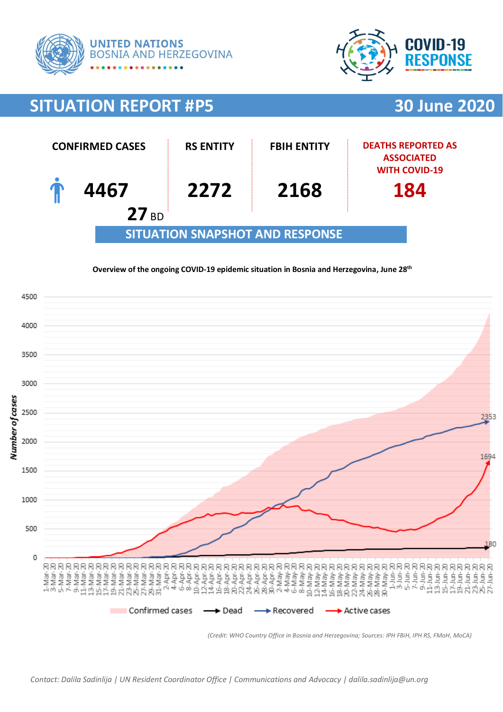



# **SITUATION REPORT #P5 30 June 2020**



#### **Overview of the ongoing COVID-19 epidemic situation in Bosnia and Herzegovina, June 28 th**



*(Credit: WHO Country Office in Bosnia and Herzegovina; Sources: IPH FBiH, IPH RS, FMoH, MoCA)*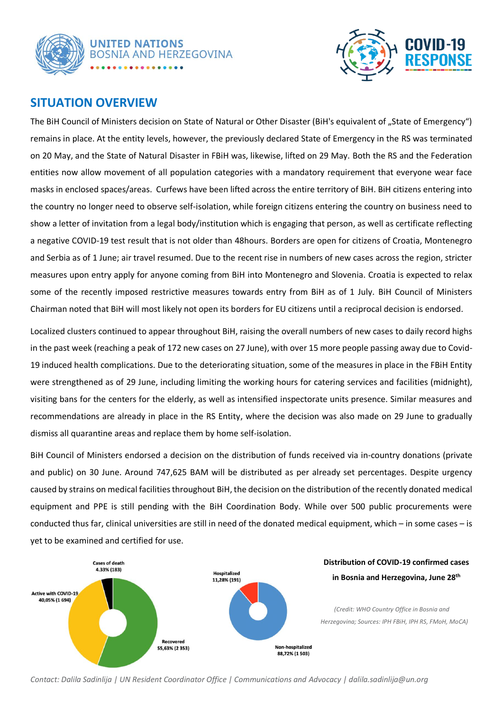



## **SITUATION OVERVIEW**

The BiH Council of Ministers decision on State of Natural or Other Disaster (BiH's equivalent of "State of Emergency") remains in place. At the entity levels, however, the previously declared State of Emergency in the RS was terminated on 20 May, and the State of Natural Disaster in FBiH was, likewise, lifted on 29 May. Both the RS and the Federation entities now allow movement of all population categories with a mandatory requirement that everyone wear face masks in enclosed spaces/areas. Curfews have been lifted across the entire territory of BiH. BiH citizens entering into the country no longer need to observe self-isolation, while foreign citizens entering the country on business need to show a letter of invitation from a legal body/institution which is engaging that person, as well as certificate reflecting a negative COVID-19 test result that is not older than 48hours. Borders are open for citizens of Croatia, Montenegro and Serbia as of 1 June; air travel resumed. Due to the recent rise in numbers of new cases across the region, stricter measures upon entry apply for anyone coming from BiH into Montenegro and Slovenia. Croatia is expected to relax some of the recently imposed restrictive measures towards entry from BiH as of 1 July. BiH Council of Ministers Chairman noted that BiH will most likely not open its borders for EU citizens until a reciprocal decision is endorsed.

Localized clusters continued to appear throughout BiH, raising the overall numbers of new cases to daily record highs in the past week (reaching a peak of 172 new cases on 27 June), with over 15 more people passing away due to Covid-19 induced health complications. Due to the deteriorating situation, some of the measures in place in the FBiH Entity were strengthened as of 29 June, including limiting the working hours for catering services and facilities (midnight), visiting bans for the centers for the elderly, as well as intensified inspectorate units presence. Similar measures and recommendations are already in place in the RS Entity, where the decision was also made on 29 June to gradually dismiss all quarantine areas and replace them by home self-isolation.

BiH Council of Ministers endorsed a decision on the distribution of funds received via in-country donations (private and public) on 30 June. Around 747,625 BAM will be distributed as per already set percentages. Despite urgency caused by strains on medical facilities throughout BiH, the decision on the distribution of the recently donated medical equipment and PPE is still pending with the BiH Coordination Body. While over 500 public procurements were conducted thus far, clinical universities are still in need of the donated medical equipment, which – in some cases – is yet to be examined and certified for use.



*Contact: Dalila Sadinlija | UN Resident Coordinator Office | Communications and Advocacy | dalila.sadinlija@un.org*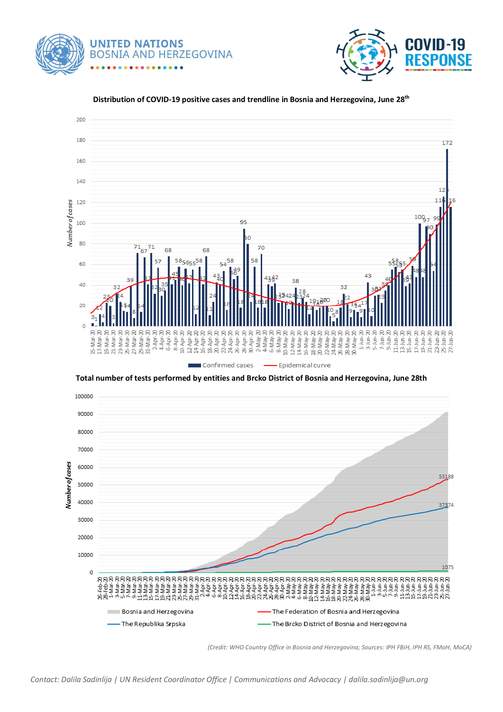





#### **Distribution of COVID-19 positive cases and trendline in Bosnia and Herzegovina, June 28 th**

**Total number of tests performed by entities and Brcko District of Bosnia and Herzegovina, June 28th**



*<sup>(</sup>Credit: WHO Country Office in Bosnia and Herzegovina; Sources: IPH FBiH, IPH RS, FMoH, MoCA)*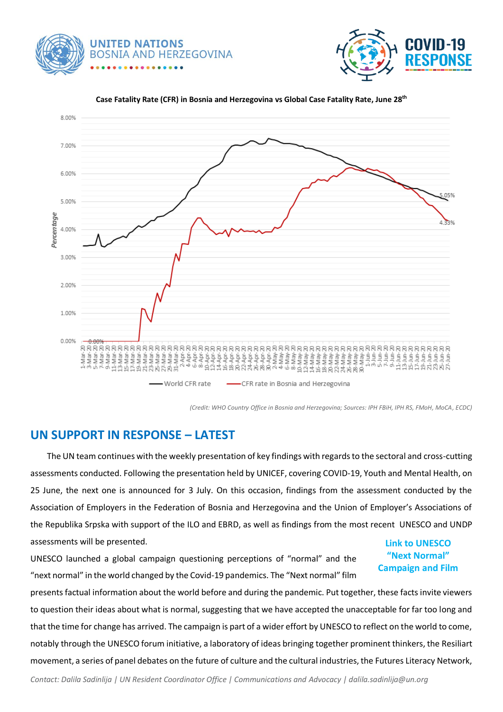





#### **Case Fatality Rate (CFR) in Bosnia and Herzegovina vs Global Case Fatality Rate, June 28 th**

*(Credit: WHO Country Office in Bosnia and Herzegovina; Sources: IPH FBiH, IPH RS, FMoH, MoCA, ECDC)*

## **UN SUPPORT IN RESPONSE – LATEST**

 The UN team continues with the weekly presentation of key findings with regards to the sectoral and cross-cutting assessments conducted. Following the presentation held by UNICEF, covering COVID-19, Youth and Mental Health, on 25 June, the next one is announced for 3 July. On this occasion, findings from the assessment conducted by the Association of Employers in the Federation of Bosnia and Herzegovina and the Union of Employer's Associations of the Republika Srpska with support of the ILO and EBRD, as well as findings from the most recent UNESCO and UNDP assessments will be presented.

UNESCO launched a global campaign questioning perceptions of "normal" and the "next normal" in the world changed by the Covid-19 pandemics. The "Next normal" film

### **Link to [UNESCO](https://en.unesco.org/campaign/nextnormal?fbclid=IwAR3WhpHKyHg6vG8bkgl2SjLYhKBITRpWrsKTMUuNEAvKCePUQgxwtq_4E98)  ["Next Normal"](https://en.unesco.org/campaign/nextnormal?fbclid=IwAR3WhpHKyHg6vG8bkgl2SjLYhKBITRpWrsKTMUuNEAvKCePUQgxwtq_4E98)  [Campaign](https://en.unesco.org/campaign/nextnormal?fbclid=IwAR3WhpHKyHg6vG8bkgl2SjLYhKBITRpWrsKTMUuNEAvKCePUQgxwtq_4E98) and Film**

presents factual information about the world before and during the pandemic. Put together, these facts invite viewers to question their ideas about what is normal, suggesting that we have accepted the unacceptable for far too long and that the time for change has arrived. The campaign is part of a wider effort by UNESCO to reflect on the world to come, notably through the UNESCO forum initiative, a laboratory of ideas bringing together prominent thinkers, the Resiliart movement, a series of panel debates on the future of culture and the cultural industries, the Futures Literacy Network,